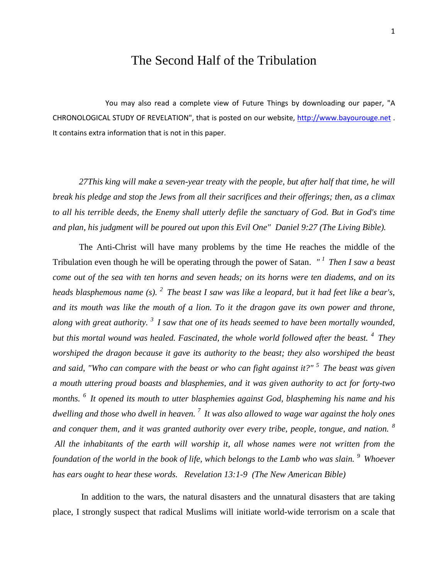## The Second Half of the Tribulation

You may also read a complete view of Future Things by downloading our paper, "A CHRONOLOGICAL STUDY OF REVELATION", that is posted on our website, [http://www.bayourouge.net](http://www.bayourouge.net/) . It contains extra information that is not in this paper.

*27This king will make a seven-year treaty with the people, but after half that time, he will break his pledge and stop the Jews from all their sacrifices and their offerings; then, as a climax to all his terrible deeds, the Enemy shall utterly defile the sanctuary of God. But in God's time and plan, his judgment will be poured out upon this Evil One" Daniel 9:27 (The Living Bible).*

The Anti-Christ will have many problems by the time He reaches the middle of the Tribulation even though he will be operating through the power of Satan. *" <sup>1</sup>Then I saw a beast come out of the sea with ten horns and seven heads; on its horns were ten diadems, and on its heads blasphemous name (s). <sup>2</sup>The beast I saw was like a leopard, but it had feet like a bear's, and its mouth was like the mouth of a lion. To it the dragon gave its own power and throne, along with great authority. <sup>3</sup>I saw that one of its heads seemed to have been mortally wounded, but this mortal wound was healed. Fascinated, the whole world followed after the beast. <sup>4</sup>They worshiped the dragon because it gave its authority to the beast; they also worshiped the beast and said, "Who can compare with the beast or who can fight against it?" <sup>5</sup>The beast was given a mouth uttering proud boasts and blasphemies, and it was given authority to act for forty-two months. <sup>6</sup>It opened its mouth to utter blasphemies against God, blaspheming his name and his dwelling and those who dwell in heaven. <sup>7</sup>It was also allowed to wage war against the holy ones and conquer them, and it was granted authority over every tribe, people, tongue, and nation. <sup>8</sup> All the inhabitants of the earth will worship it, all whose names were not written from the foundation of the world in the book of life, which belongs to the Lamb who was slain. <sup>9</sup>Whoever has ears ought to hear these words. Revelation 13:1-9 (The New American Bible)* 

In addition to the wars, the natural disasters and the unnatural disasters that are taking place, I strongly suspect that radical Muslims will initiate world-wide terrorism on a scale that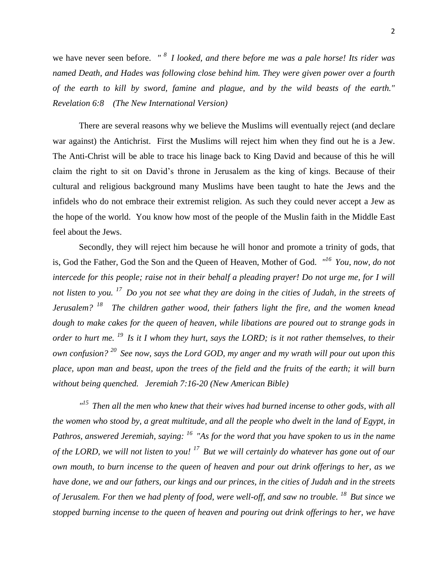we have never seen before. *" <sup>8</sup>I looked, and there before me was a pale horse! Its rider was named Death, and Hades was following close behind him. They were given power over a fourth of the earth to kill by sword, famine and plague, and by the wild beasts of the earth." Revelation 6:8 (The New International Version)* 

There are several reasons why we believe the Muslims will eventually reject (and declare war against) the Antichrist. First the Muslims will reject him when they find out he is a Jew. The Anti-Christ will be able to trace his linage back to King David and because of this he will claim the right to sit on David's throne in Jerusalem as the king of kings. Because of their cultural and religious background many Muslims have been taught to hate the Jews and the infidels who do not embrace their extremist religion. As such they could never accept a Jew as the hope of the world. You know how most of the people of the Muslin faith in the Middle East feel about the Jews.

Secondly, they will reject him because he will honor and promote a trinity of gods, that is, God the Father, God the Son and the Queen of Heaven, Mother of God*. " <sup>16</sup>You, now, do not intercede for this people; raise not in their behalf a pleading prayer! Do not urge me, for I will not listen to you. <sup>17</sup>Do you not see what they are doing in the cities of Judah, in the streets of Jerusalem? <sup>18</sup>The children gather wood, their fathers light the fire, and the women knead dough to make cakes for the queen of heaven, while libations are poured out to strange gods in order to hurt me. <sup>19</sup>Is it I whom they hurt, says the LORD; is it not rather themselves, to their own confusion? <sup>20</sup>See now, says the Lord GOD, my anger and my wrath will pour out upon this place, upon man and beast, upon the trees of the field and the fruits of the earth; it will burn without being quenched. Jeremiah 7:16-20 (New American Bible)*

*" <sup>15</sup>Then all the men who knew that their wives had burned incense to other gods, with all the women who stood by, a great multitude, and all the people who dwelt in the land of Egypt, in Pathros, answered Jeremiah, saying: <sup>16</sup>"As for the word that you have spoken to us in the name of the LORD, we will not listen to you! <sup>17</sup>But we will certainly do whatever has gone out of our own mouth, to burn incense to the queen of heaven and pour out drink offerings to her, as we have done, we and our fathers, our kings and our princes, in the cities of Judah and in the streets of Jerusalem. For then we had plenty of food, were well-off, and saw no trouble. <sup>18</sup>But since we stopped burning incense to the queen of heaven and pouring out drink offerings to her, we have*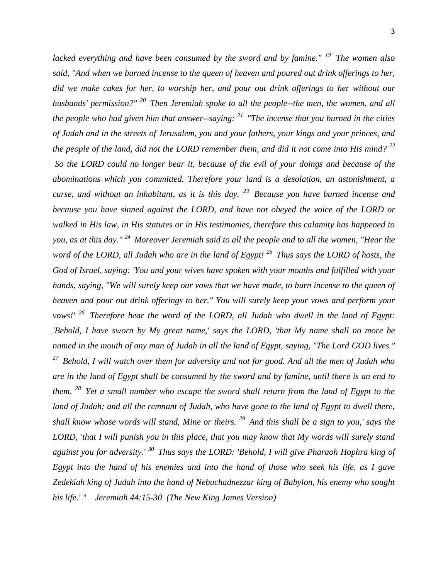*lacked everything and have been consumed by the sword and by famine." <sup>19</sup>The women also said, "And when we burned incense to the queen of heaven and poured out drink offerings to her, did we make cakes for her, to worship her, and pour out drink offerings to her without our husbands' permission?" <sup>20</sup>Then Jeremiah spoke to all the people--the men, the women, and all the people who had given him that answer--saying: <sup>21</sup>"The incense that you burned in the cities of Judah and in the streets of Jerusalem, you and your fathers, your kings and your princes, and the people of the land, did not the LORD remember them, and did it not come into His mind? <sup>22</sup> So the LORD could no longer bear it, because of the evil of your doings and because of the abominations which you committed. Therefore your land is a desolation, an astonishment, a curse, and without an inhabitant, as it is this day. <sup>23</sup>Because you have burned incense and because you have sinned against the LORD, and have not obeyed the voice of the LORD or walked in His law, in His statutes or in His testimonies, therefore this calamity has happened to you, as at this day." <sup>24</sup>Moreover Jeremiah said to all the people and to all the women, "Hear the word of the LORD, all Judah who are in the land of Egypt! <sup>25</sup>Thus says the LORD of hosts, the God of Israel, saying: 'You and your wives have spoken with your mouths and fulfilled with your hands, saying, "We will surely keep our vows that we have made, to burn incense to the queen of heaven and pour out drink offerings to her." You will surely keep your vows and perform your vows!' <sup>26</sup>Therefore hear the word of the LORD, all Judah who dwell in the land of Egypt: 'Behold, I have sworn by My great name,' says the LORD, 'that My name shall no more be named in the mouth of any man of Judah in all the land of Egypt, saying, "The Lord GOD lives." <sup>27</sup>Behold, I will watch over them for adversity and not for good. And all the men of Judah who are in the land of Egypt shall be consumed by the sword and by famine, until there is an end to them. <sup>28</sup>Yet a small number who escape the sword shall return from the land of Egypt to the*  land of Judah; and all the remnant of Judah, who have gone to the land of Egypt to dwell there, *shall know whose words will stand, Mine or theirs. <sup>29</sup>And this shall be a sign to you,' says the LORD, 'that I will punish you in this place, that you may know that My words will surely stand against you for adversity.' <sup>30</sup>Thus says the LORD: 'Behold, I will give Pharaoh Hophra king of Egypt into the hand of his enemies and into the hand of those who seek his life, as I gave Zedekiah king of Judah into the hand of Nebuchadnezzar king of Babylon, his enemy who sought his life.' " Jeremiah 44:15-30 (The New King James Version)*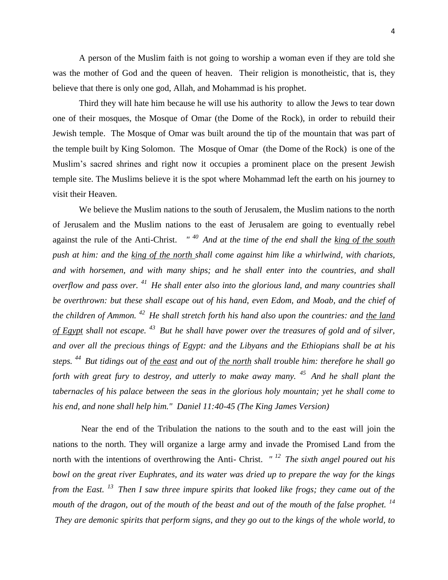A person of the Muslim faith is not going to worship a woman even if they are told she was the mother of God and the queen of heaven. Their religion is monotheistic, that is, they believe that there is only one god, Allah, and Mohammad is his prophet.

Third they will hate him because he will use his authority to allow the Jews to tear down one of their mosques, the Mosque of Omar (the Dome of the Rock), in order to rebuild their Jewish temple. The Mosque of Omar was built around the tip of the mountain that was part of the temple built by King Solomon. The Mosque of Omar (the Dome of the Rock) is one of the Muslim's sacred shrines and right now it occupies a prominent place on the present Jewish temple site. The Muslims believe it is the spot where Mohammad left the earth on his journey to visit their Heaven.

We believe the Muslim nations to the south of Jerusalem, the Muslim nations to the north of Jerusalem and the Muslim nations to the east of Jerusalem are going to eventually rebel against the rule of the Anti-Christ. *" <sup>40</sup>And at the time of the end shall the king of the south push at him: and the king of the north shall come against him like a whirlwind, with chariots, and with horsemen, and with many ships; and he shall enter into the countries, and shall overflow and pass over. <sup>41</sup>He shall enter also into the glorious land, and many countries shall be overthrown: but these shall escape out of his hand, even Edom, and Moab, and the chief of the children of Ammon. <sup>42</sup>He shall stretch forth his hand also upon the countries: and the land of Egypt shall not escape. <sup>43</sup>But he shall have power over the treasures of gold and of silver, and over all the precious things of Egypt: and the Libyans and the Ethiopians shall be at his steps. <sup>44</sup>But tidings out of the east and out of the north shall trouble him: therefore he shall go forth with great fury to destroy, and utterly to make away many. <sup>45</sup>And he shall plant the tabernacles of his palace between the seas in the glorious holy mountain; yet he shall come to his end, and none shall help him." Daniel 11:40-45 (The King James Version)* 

Near the end of the Tribulation the nations to the south and to the east will join the nations to the north. They will organize a large army and invade the Promised Land from the north with the intentions of overthrowing the Anti- Christ. *" <sup>12</sup>The sixth angel poured out his bowl on the great river Euphrates, and its water was dried up to prepare the way for the kings from the East. <sup>13</sup>Then I saw three impure spirits that looked like frogs; they came out of the mouth of the dragon, out of the mouth of the beast and out of the mouth of the false prophet. <sup>14</sup> They are demonic spirits that perform signs, and they go out to the kings of the whole world, to*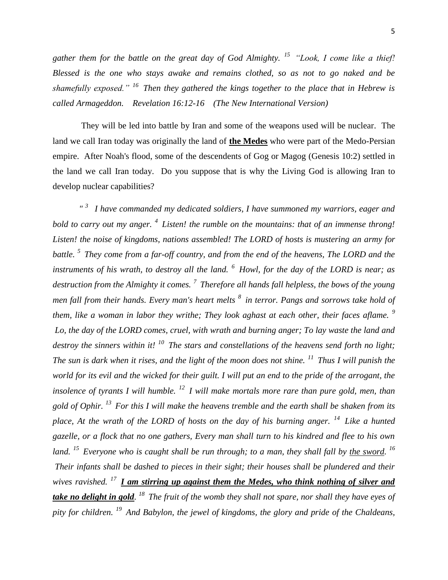5

*gather them for the battle on the great day of God Almighty. <sup>15</sup>"Look, I come like a thief! Blessed is the one who stays awake and remains clothed, so as not to go naked and be shamefully exposed." <sup>16</sup>Then they gathered the kings together to the place that in Hebrew is called Armageddon. Revelation 16:12-16 (The New International Version)* 

They will be led into battle by Iran and some of the weapons used will be nuclear. The land we call Iran today was originally the land of **the Medes** who were part of the Medo-Persian empire. After Noah's flood, some of the descendents of Gog or Magog (Genesis 10:2) settled in the land we call Iran today. Do you suppose that is why the Living God is allowing Iran to develop nuclear capabilities?

*" <sup>3</sup>I have commanded my dedicated soldiers, I have summoned my warriors, eager and bold to carry out my anger. <sup>4</sup>Listen! the rumble on the mountains: that of an immense throng! Listen! the noise of kingdoms, nations assembled! The LORD of hosts is mustering an army for battle. <sup>5</sup>They come from a far-off country, and from the end of the heavens, The LORD and the instruments of his wrath, to destroy all the land. <sup>6</sup>Howl, for the day of the LORD is near; as destruction from the Almighty it comes. <sup>7</sup>Therefore all hands fall helpless, the bows of the young men fall from their hands. Every man's heart melts <sup>8</sup>in terror. Pangs and sorrows take hold of them, like a woman in labor they writhe; They look aghast at each other, their faces aflame. <sup>9</sup> Lo, the day of the LORD comes, cruel, with wrath and burning anger; To lay waste the land and destroy the sinners within it! <sup>10</sup>The stars and constellations of the heavens send forth no light; The sun is dark when it rises, and the light of the moon does not shine. <sup>11</sup>Thus I will punish the world for its evil and the wicked for their guilt. I will put an end to the pride of the arrogant, the insolence of tyrants I will humble. <sup>12</sup>I will make mortals more rare than pure gold, men, than gold of Ophir. <sup>13</sup>For this I will make the heavens tremble and the earth shall be shaken from its place, At the wrath of the LORD of hosts on the day of his burning anger. <sup>14</sup>Like a hunted gazelle, or a flock that no one gathers, Every man shall turn to his kindred and flee to his own*  land. <sup>15</sup> Everyone who is caught shall be run through; to a man, they shall fall by <u>the sword</u>. <sup>16</sup> *Their infants shall be dashed to pieces in their sight; their houses shall be plundered and their wives ravished. <sup>17</sup>I am stirring up against them the Medes, who think nothing of silver and*  take no delight in gold. <sup>18</sup> The fruit of the womb they shall not spare, nor shall they have eyes of *pity for children. <sup>19</sup>And Babylon, the jewel of kingdoms, the glory and pride of the Chaldeans,*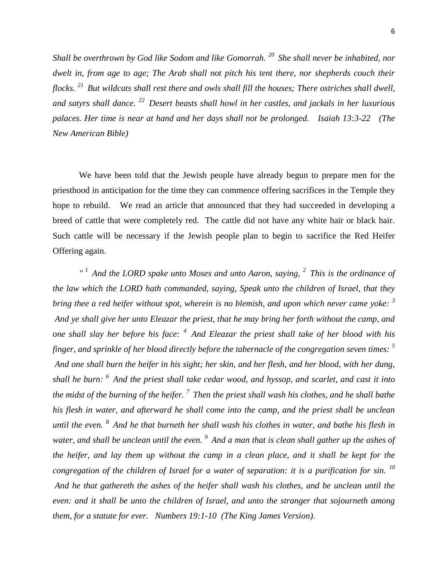*Shall be overthrown by God like Sodom and like Gomorrah. <sup>20</sup>She shall never be inhabited, nor dwelt in, from age to age; The Arab shall not pitch his tent there, nor shepherds couch their flocks. <sup>21</sup>But wildcats shall rest there and owls shall fill the houses; There ostriches shall dwell, and satyrs shall dance. <sup>22</sup>Desert beasts shall howl in her castles, and jackals in her luxurious palaces. Her time is near at hand and her days shall not be prolonged. Isaiah 13:3-22 (The New American Bible)* 

We have been told that the Jewish people have already begun to prepare men for the priesthood in anticipation for the time they can commence offering sacrifices in the Temple they hope to rebuild. We read an article that announced that they had succeeded in developing a breed of cattle that were completely red. The cattle did not have any white hair or black hair. Such cattle will be necessary if the Jewish people plan to begin to sacrifice the Red Heifer Offering again.

*" <sup>1</sup>And the LORD spake unto Moses and unto Aaron, saying, <sup>2</sup>This is the ordinance of the law which the LORD hath commanded, saying, Speak unto the children of Israel, that they bring thee a red heifer without spot, wherein is no blemish, and upon which never came yoke: <sup>3</sup> And ye shall give her unto Eleazar the priest, that he may bring her forth without the camp, and one shall slay her before his face: <sup>4</sup>And Eleazar the priest shall take of her blood with his finger, and sprinkle of her blood directly before the tabernacle of the congregation seven times: <sup>5</sup> And one shall burn the heifer in his sight; her skin, and her flesh, and her blood, with her dung, shall he burn: <sup>6</sup>And the priest shall take cedar wood, and hyssop, and scarlet, and cast it into the midst of the burning of the heifer. <sup>7</sup>Then the priest shall wash his clothes, and he shall bathe his flesh in water, and afterward he shall come into the camp, and the priest shall be unclean until the even. <sup>8</sup>And he that burneth her shall wash his clothes in water, and bathe his flesh in water, and shall be unclean until the even. <sup>9</sup>And a man that is clean shall gather up the ashes of the heifer, and lay them up without the camp in a clean place, and it shall be kept for the congregation of the children of Israel for a water of separation: it is a purification for sin. <sup>10</sup> And he that gathereth the ashes of the heifer shall wash his clothes, and be unclean until the even: and it shall be unto the children of Israel, and unto the stranger that sojourneth among them, for a statute for ever. Numbers 19:1-10 (The King James Version).*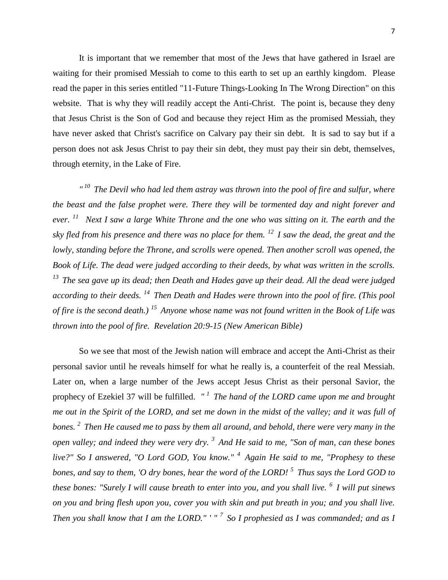It is important that we remember that most of the Jews that have gathered in Israel are waiting for their promised Messiah to come to this earth to set up an earthly kingdom. Please read the paper in this series entitled "11-Future Things-Looking In The Wrong Direction" on this website. That is why they will readily accept the Anti-Christ. The point is, because they deny that Jesus Christ is the Son of God and because they reject Him as the promised Messiah, they have never asked that Christ's sacrifice on Calvary pay their sin debt. It is sad to say but if a person does not ask Jesus Christ to pay their sin debt, they must pay their sin debt, themselves, through eternity, in the Lake of Fire.

<sup>" 10</sup> The Devil who had led them astray was thrown into the pool of fire and sulfur, where *the beast and the false prophet were. There they will be tormented day and night forever and ever. <sup>11</sup>Next I saw a large White Throne and the one who was sitting on it. The earth and the sky fled from his presence and there was no place for them. <sup>12</sup>I saw the dead, the great and the lowly, standing before the Throne, and scrolls were opened. Then another scroll was opened, the Book of Life. The dead were judged according to their deeds, by what was written in the scrolls. <sup>13</sup>The sea gave up its dead; then Death and Hades gave up their dead. All the dead were judged according to their deeds. <sup>14</sup>Then Death and Hades were thrown into the pool of fire. (This pool of fire is the second death.) <sup>15</sup>Anyone whose name was not found written in the Book of Life was thrown into the pool of fire. Revelation 20:9-15 (New American Bible)* 

So we see that most of the Jewish nation will embrace and accept the Anti-Christ as their personal savior until he reveals himself for what he really is, a counterfeit of the real Messiah. Later on, when a large number of the Jews accept Jesus Christ as their personal Savior, the prophecy of Ezekiel 37 will be fulfilled. *" <sup>1</sup>The hand of the LORD came upon me and brought me out in the Spirit of the LORD, and set me down in the midst of the valley; and it was full of bones. <sup>2</sup>Then He caused me to pass by them all around, and behold, there were very many in the open valley; and indeed they were very dry. <sup>3</sup>And He said to me, "Son of man, can these bones live?" So I answered, "O Lord GOD, You know." <sup>4</sup>Again He said to me, "Prophesy to these bones, and say to them, 'O dry bones, hear the word of the LORD! <sup>5</sup>Thus says the Lord GOD to these bones: "Surely I will cause breath to enter into you, and you shall live. <sup>6</sup>I will put sinews on you and bring flesh upon you, cover you with skin and put breath in you; and you shall live. Then you shall know that I am the LORD." ' " <sup>7</sup>So I prophesied as I was commanded; and as I*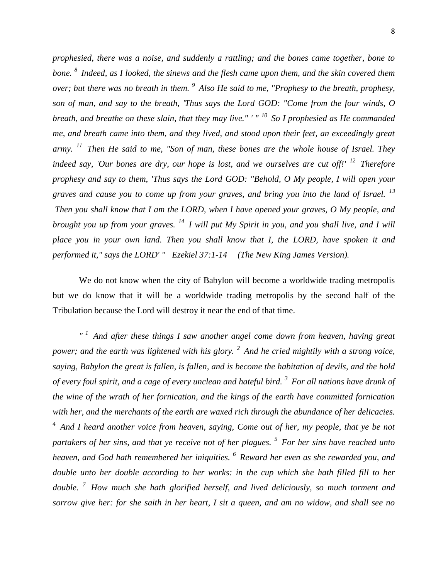*prophesied, there was a noise, and suddenly a rattling; and the bones came together, bone to bone. <sup>8</sup>Indeed, as I looked, the sinews and the flesh came upon them, and the skin covered them over; but there was no breath in them. <sup>9</sup>Also He said to me, "Prophesy to the breath, prophesy, son of man, and say to the breath, 'Thus says the Lord GOD: "Come from the four winds, O breath, and breathe on these slain, that they may live." ' " <sup>10</sup>So I prophesied as He commanded me, and breath came into them, and they lived, and stood upon their feet, an exceedingly great army. <sup>11</sup>Then He said to me, "Son of man, these bones are the whole house of Israel. They indeed say, 'Our bones are dry, our hope is lost, and we ourselves are cut off!' <sup>12</sup> Therefore prophesy and say to them, 'Thus says the Lord GOD: "Behold, O My people, I will open your graves and cause you to come up from your graves, and bring you into the land of Israel. <sup>13</sup> Then you shall know that I am the LORD, when I have opened your graves, O My people, and brought you up from your graves. <sup>14</sup>I will put My Spirit in you, and you shall live, and I will place you in your own land. Then you shall know that I, the LORD, have spoken it and performed it," says the LORD' " Ezekiel 37:1-14 (The New King James Version).*

We do not know when the city of Babylon will become a worldwide trading metropolis but we do know that it will be a worldwide trading metropolis by the second half of the Tribulation because the Lord will destroy it near the end of that time.

*" <sup>1</sup>And after these things I saw another angel come down from heaven, having great power; and the earth was lightened with his glory. <sup>2</sup>And he cried mightily with a strong voice, saying, Babylon the great is fallen, is fallen, and is become the habitation of devils, and the hold of every foul spirit, and a cage of every unclean and hateful bird. <sup>3</sup>For all nations have drunk of the wine of the wrath of her fornication, and the kings of the earth have committed fornication with her, and the merchants of the earth are waxed rich through the abundance of her delicacies. <sup>4</sup>And I heard another voice from heaven, saying, Come out of her, my people, that ye be not partakers of her sins, and that ye receive not of her plagues. <sup>5</sup>For her sins have reached unto heaven, and God hath remembered her iniquities. <sup>6</sup>Reward her even as she rewarded you, and double unto her double according to her works: in the cup which she hath filled fill to her double. <sup>7</sup>How much she hath glorified herself, and lived deliciously, so much torment and sorrow give her: for she saith in her heart, I sit a queen, and am no widow, and shall see no*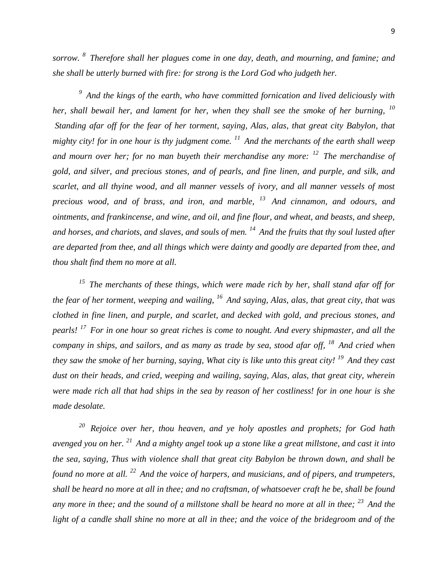*sorrow. <sup>8</sup>Therefore shall her plagues come in one day, death, and mourning, and famine; and she shall be utterly burned with fire: for strong is the Lord God who judgeth her.* 

*<sup>9</sup>And the kings of the earth, who have committed fornication and lived deliciously with her, shall bewail her, and lament for her, when they shall see the smoke of her burning, <sup>10</sup> Standing afar off for the fear of her torment, saying, Alas, alas, that great city Babylon, that mighty city! for in one hour is thy judgment come. <sup>11</sup>And the merchants of the earth shall weep and mourn over her; for no man buyeth their merchandise any more: <sup>12</sup>The merchandise of gold, and silver, and precious stones, and of pearls, and fine linen, and purple, and silk, and scarlet, and all thyine wood, and all manner vessels of ivory, and all manner vessels of most precious wood, and of brass, and iron, and marble, <sup>13</sup>And cinnamon, and odours, and ointments, and frankincense, and wine, and oil, and fine flour, and wheat, and beasts, and sheep, and horses, and chariots, and slaves, and souls of men. <sup>14</sup>And the fruits that thy soul lusted after are departed from thee, and all things which were dainty and goodly are departed from thee, and thou shalt find them no more at all.* 

*<sup>15</sup>The merchants of these things, which were made rich by her, shall stand afar off for the fear of her torment, weeping and wailing, <sup>16</sup>And saying, Alas, alas, that great city, that was clothed in fine linen, and purple, and scarlet, and decked with gold, and precious stones, and pearls! <sup>17</sup>For in one hour so great riches is come to nought. And every shipmaster, and all the company in ships, and sailors, and as many as trade by sea, stood afar off, <sup>18</sup>And cried when they saw the smoke of her burning, saying, What city is like unto this great city! <sup>19</sup>And they cast dust on their heads, and cried, weeping and wailing, saying, Alas, alas, that great city, wherein were made rich all that had ships in the sea by reason of her costliness! for in one hour is she made desolate.* 

*<sup>20</sup>Rejoice over her, thou heaven, and ye holy apostles and prophets; for God hath avenged you on her. <sup>21</sup>And a mighty angel took up a stone like a great millstone, and cast it into the sea, saying, Thus with violence shall that great city Babylon be thrown down, and shall be found no more at all. <sup>22</sup>And the voice of harpers, and musicians, and of pipers, and trumpeters, shall be heard no more at all in thee; and no craftsman, of whatsoever craft he be, shall be found any more in thee; and the sound of a millstone shall be heard no more at all in thee; <sup>23</sup>And the*  light of a candle shall shine no more at all in thee; and the voice of the bridegroom and of the